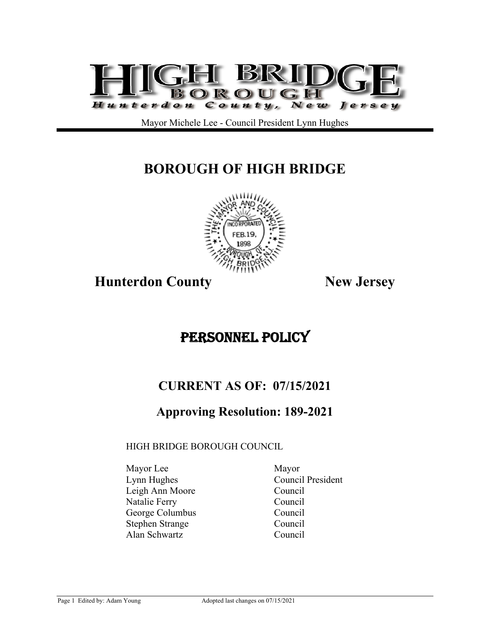

Mayor Michele Lee - Council President Lynn Hughes

# **BOROUGH OF HIGH BRIDGE**



**Hunterdon County New Jersey** 

# PERSONNEL POLICY

# **CURRENT AS OF: 07/15/2021**

# **Approving Resolution: 189-2021**

## HIGH BRIDGE BOROUGH COUNCIL

Mayor Lee Mayor Lynn Hughes Council President Leigh Ann Moore Council Natalie Ferry Council George Columbus Council Stephen Strange Council Alan Schwartz Council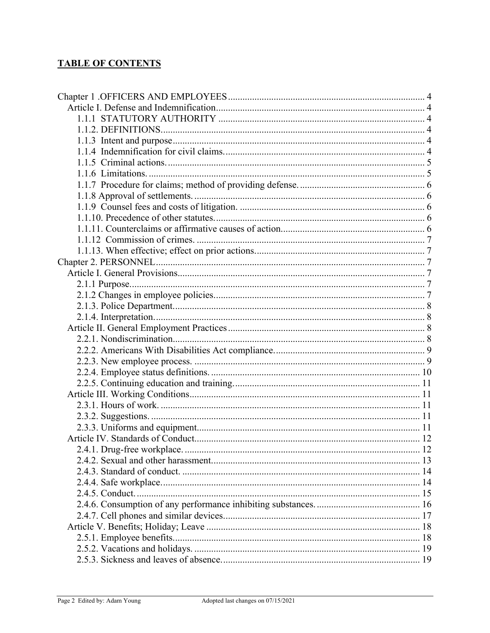# **TABLE OF CONTENTS**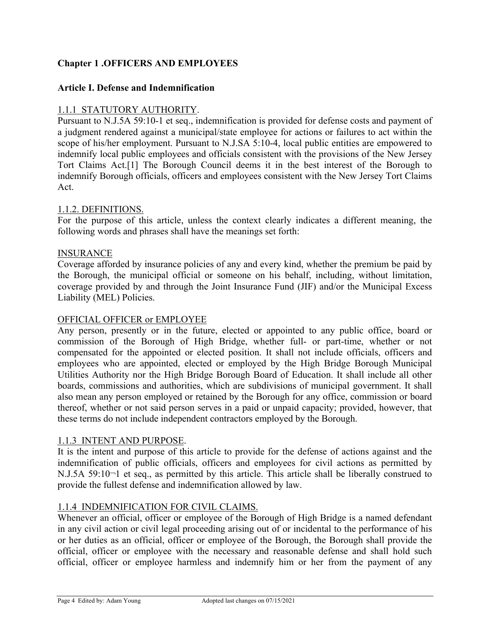## **Chapter 1 .OFFICERS AND EMPLOYEES**

#### **Article I. Defense and Indemnification**

#### 1.1.1 STATUTORY AUTHORITY.

Pursuant to N.J.5A 59:10-1 et seq., indemnification is provided for defense costs and payment of a judgment rendered against a municipal/state employee for actions or failures to act within the scope of his/her employment. Pursuant to N.J.SA 5:10-4, local public entities are empowered to indemnify local public employees and officials consistent with the provisions of the New Jersey Tort Claims Act.[1] The Borough Council deems it in the best interest of the Borough to indemnify Borough officials, officers and employees consistent with the New Jersey Tort Claims Act.

#### 1.1.2. DEFINITIONS.

For the purpose of this article, unless the context clearly indicates a different meaning, the following words and phrases shall have the meanings set forth:

#### INSURANCE

Coverage afforded by insurance policies of any and every kind, whether the premium be paid by the Borough, the municipal official or someone on his behalf, including, without limitation, coverage provided by and through the Joint Insurance Fund (JIF) and/or the Municipal Excess Liability (MEL) Policies.

#### OFFICIAL OFFICER or EMPLOYEE

Any person, presently or in the future, elected or appointed to any public office, board or commission of the Borough of High Bridge, whether full- or part-time, whether or not compensated for the appointed or elected position. It shall not include officials, officers and employees who are appointed, elected or employed by the High Bridge Borough Municipal Utilities Authority nor the High Bridge Borough Board of Education. It shall include all other boards, commissions and authorities, which are subdivisions of municipal government. It shall also mean any person employed or retained by the Borough for any office, commission or board thereof, whether or not said person serves in a paid or unpaid capacity; provided, however, that these terms do not include independent contractors employed by the Borough.

#### 1.1.3 INTENT AND PURPOSE.

It is the intent and purpose of this article to provide for the defense of actions against and the indemnification of public officials, officers and employees for civil actions as permitted by N.J.5A 59:10¬1 et seq., as permitted by this article. This article shall be liberally construed to provide the fullest defense and indemnification allowed by law.

#### 1.1.4 INDEMNIFICATION FOR CIVIL CLAIMS.

Whenever an official, officer or employee of the Borough of High Bridge is a named defendant in any civil action or civil legal proceeding arising out of or incidental to the performance of his or her duties as an official, officer or employee of the Borough, the Borough shall provide the official, officer or employee with the necessary and reasonable defense and shall hold such official, officer or employee harmless and indemnify him or her from the payment of any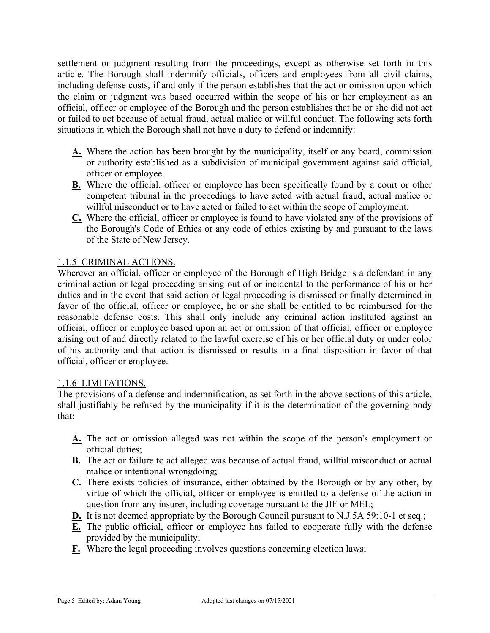settlement or judgment resulting from the proceedings, except as otherwise set forth in this article. The Borough shall indemnify officials, officers and employees from all civil claims, including defense costs, if and only if the person establishes that the act or omission upon which the claim or judgment was based occurred within the scope of his or her employment as an official, officer or employee of the Borough and the person establishes that he or she did not act or failed to act because of actual fraud, actual malice or willful conduct. The following sets forth situations in which the Borough shall not have a duty to defend or indemnify:

- **A.** Where the action has been brought by the municipality, itself or any board, commission or authority established as a subdivision of municipal government against said official, officer or employee.
- **B.** Where the official, officer or employee has been specifically found by a court or other competent tribunal in the proceedings to have acted with actual fraud, actual malice or willful misconduct or to have acted or failed to act within the scope of employment.
- **C.** Where the official, officer or employee is found to have violated any of the provisions of the Borough's Code of Ethics or any code of ethics existing by and pursuant to the laws of the State of New Jersey.

## 1.1.5 CRIMINAL ACTIONS.

Wherever an official, officer or employee of the Borough of High Bridge is a defendant in any criminal action or legal proceeding arising out of or incidental to the performance of his or her duties and in the event that said action or legal proceeding is dismissed or finally determined in favor of the official, officer or employee, he or she shall be entitled to be reimbursed for the reasonable defense costs. This shall only include any criminal action instituted against an official, officer or employee based upon an act or omission of that official, officer or employee arising out of and directly related to the lawful exercise of his or her official duty or under color of his authority and that action is dismissed or results in a final disposition in favor of that official, officer or employee.

## 1.1.6 LIMITATIONS.

The provisions of a defense and indemnification, as set forth in the above sections of this article, shall justifiably be refused by the municipality if it is the determination of the governing body that:

- **A.** The act or omission alleged was not within the scope of the person's employment or official duties;
- **B.** The act or failure to act alleged was because of actual fraud, willful misconduct or actual malice or intentional wrongdoing;
- **C.** There exists policies of insurance, either obtained by the Borough or by any other, by virtue of which the official, officer or employee is entitled to a defense of the action in question from any insurer, including coverage pursuant to the JIF or MEL;
- **D.** It is not deemed appropriate by the Borough Council pursuant to N.J.5A 59:10-1 et seq.;
- **E.** The public official, officer or employee has failed to cooperate fully with the defense provided by the municipality;
- **F.** Where the legal proceeding involves questions concerning election laws;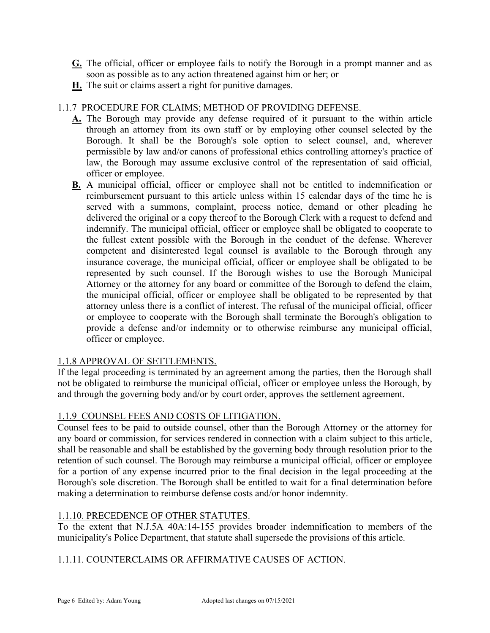- **G.** The official, officer or employee fails to notify the Borough in a prompt manner and as soon as possible as to any action threatened against him or her; or
- **H.** The suit or claims assert a right for punitive damages.

## 1.1.7 PROCEDURE FOR CLAIMS; METHOD OF PROVIDING DEFENSE.

- **A.** The Borough may provide any defense required of it pursuant to the within article through an attorney from its own staff or by employing other counsel selected by the Borough. It shall be the Borough's sole option to select counsel, and, wherever permissible by law and/or canons of professional ethics controlling attorney's practice of law, the Borough may assume exclusive control of the representation of said official, officer or employee.
- **B.** A municipal official, officer or employee shall not be entitled to indemnification or reimbursement pursuant to this article unless within 15 calendar days of the time he is served with a summons, complaint, process notice, demand or other pleading he delivered the original or a copy thereof to the Borough Clerk with a request to defend and indemnify. The municipal official, officer or employee shall be obligated to cooperate to the fullest extent possible with the Borough in the conduct of the defense. Wherever competent and disinterested legal counsel is available to the Borough through any insurance coverage, the municipal official, officer or employee shall be obligated to be represented by such counsel. If the Borough wishes to use the Borough Municipal Attorney or the attorney for any board or committee of the Borough to defend the claim, the municipal official, officer or employee shall be obligated to be represented by that attorney unless there is a conflict of interest. The refusal of the municipal official, officer or employee to cooperate with the Borough shall terminate the Borough's obligation to provide a defense and/or indemnity or to otherwise reimburse any municipal official, officer or employee.

## 1.1.8 APPROVAL OF SETTLEMENTS.

If the legal proceeding is terminated by an agreement among the parties, then the Borough shall not be obligated to reimburse the municipal official, officer or employee unless the Borough, by and through the governing body and/or by court order, approves the settlement agreement.

## 1.1.9 COUNSEL FEES AND COSTS OF LITIGATION.

Counsel fees to be paid to outside counsel, other than the Borough Attorney or the attorney for any board or commission, for services rendered in connection with a claim subject to this article, shall be reasonable and shall be established by the governing body through resolution prior to the retention of such counsel. The Borough may reimburse a municipal official, officer or employee for a portion of any expense incurred prior to the final decision in the legal proceeding at the Borough's sole discretion. The Borough shall be entitled to wait for a final determination before making a determination to reimburse defense costs and/or honor indemnity.

## 1.1.10. PRECEDENCE OF OTHER STATUTES.

To the extent that N.J.5A 40A:14-155 provides broader indemnification to members of the municipality's Police Department, that statute shall supersede the provisions of this article.

## 1.1.11. COUNTERCLAIMS OR AFFIRMATIVE CAUSES OF ACTION.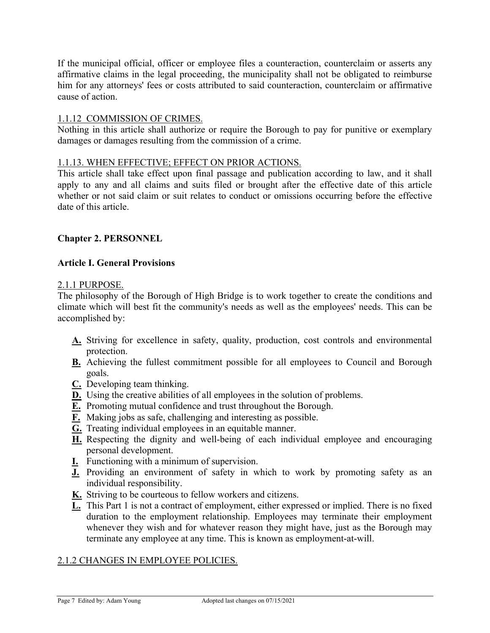If the municipal official, officer or employee files a counteraction, counterclaim or asserts any affirmative claims in the legal proceeding, the municipality shall not be obligated to reimburse him for any attorneys' fees or costs attributed to said counteraction, counterclaim or affirmative cause of action.

## 1.1.12 COMMISSION OF CRIMES.

Nothing in this article shall authorize or require the Borough to pay for punitive or exemplary damages or damages resulting from the commission of a crime.

## 1.1.13. WHEN EFFECTIVE; EFFECT ON PRIOR ACTIONS.

This article shall take effect upon final passage and publication according to law, and it shall apply to any and all claims and suits filed or brought after the effective date of this article whether or not said claim or suit relates to conduct or omissions occurring before the effective date of this article.

## **Chapter 2. PERSONNEL**

## **Article I. General Provisions**

#### 2.1.1 PURPOSE.

The philosophy of the Borough of High Bridge is to work together to create the conditions and climate which will best fit the community's needs as well as the employees' needs. This can be accomplished by:

- **A.** Striving for excellence in safety, quality, production, cost controls and environmental protection.
- **B.** Achieving the fullest commitment possible for all employees to Council and Borough goals.
- **C.** Developing team thinking.
- **D.** Using the creative abilities of all employees in the solution of problems.
- **E.** Promoting mutual confidence and trust throughout the Borough.
- **F.** Making jobs as safe, challenging and interesting as possible.
- **G.** Treating individual employees in an equitable manner.
- **H.** Respecting the dignity and well-being of each individual employee and encouraging personal development.
- **I.** Functioning with a minimum of supervision.
- **J.** Providing an environment of safety in which to work by promoting safety as an individual responsibility.
- **K.** Striving to be courteous to fellow workers and citizens.
- **L.** This Part 1 is not a contract of employment, either expressed or implied. There is no fixed duration to the employment relationship. Employees may terminate their employment whenever they wish and for whatever reason they might have, just as the Borough may terminate any employee at any time. This is known as employment-at-will.

# 2.1.2 CHANGES IN EMPLOYEE POLICIES.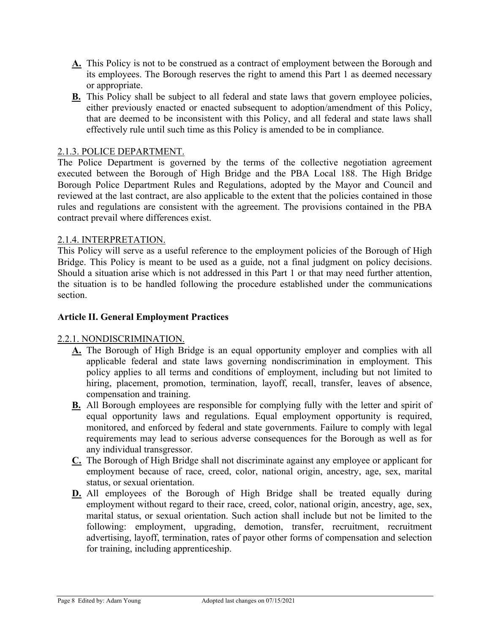- **A.** This Policy is not to be construed as a contract of employment between the Borough and its employees. The Borough reserves the right to amend this Part 1 as deemed necessary or appropriate.
- **B.** This Policy shall be subject to all federal and state laws that govern employee policies, either previously enacted or enacted subsequent to adoption/amendment of this Policy, that are deemed to be inconsistent with this Policy, and all federal and state laws shall effectively rule until such time as this Policy is amended to be in compliance.

## 2.1.3. POLICE DEPARTMENT.

The Police Department is governed by the terms of the collective negotiation agreement executed between the Borough of High Bridge and the PBA Local 188. The High Bridge Borough Police Department Rules and Regulations, adopted by the Mayor and Council and reviewed at the last contract, are also applicable to the extent that the policies contained in those rules and regulations are consistent with the agreement. The provisions contained in the PBA contract prevail where differences exist.

## 2.1.4. INTERPRETATION.

This Policy will serve as a useful reference to the employment policies of the Borough of High Bridge. This Policy is meant to be used as a guide, not a final judgment on policy decisions. Should a situation arise which is not addressed in this Part 1 or that may need further attention, the situation is to be handled following the procedure established under the communications section.

## **Article II. General Employment Practices**

## 2.2.1. NONDISCRIMINATION.

- **A.** The Borough of High Bridge is an equal opportunity employer and complies with all applicable federal and state laws governing nondiscrimination in employment. This policy applies to all terms and conditions of employment, including but not limited to hiring, placement, promotion, termination, layoff, recall, transfer, leaves of absence, compensation and training.
- **B.** All Borough employees are responsible for complying fully with the letter and spirit of equal opportunity laws and regulations. Equal employment opportunity is required, monitored, and enforced by federal and state governments. Failure to comply with legal requirements may lead to serious adverse consequences for the Borough as well as for any individual transgressor.
- **C.** The Borough of High Bridge shall not discriminate against any employee or applicant for employment because of race, creed, color, national origin, ancestry, age, sex, marital status, or sexual orientation.
- **D.** All employees of the Borough of High Bridge shall be treated equally during employment without regard to their race, creed, color, national origin, ancestry, age, sex, marital status, or sexual orientation. Such action shall include but not be limited to the following: employment, upgrading, demotion, transfer, recruitment, recruitment advertising, layoff, termination, rates of payor other forms of compensation and selection for training, including apprenticeship.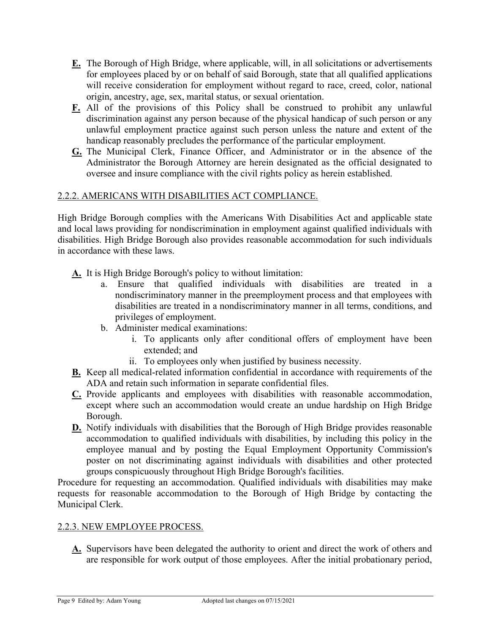- **E.** The Borough of High Bridge, where applicable, will, in all solicitations or advertisements for employees placed by or on behalf of said Borough, state that all qualified applications will receive consideration for employment without regard to race, creed, color, national origin, ancestry, age, sex, marital status, or sexual orientation.
- **F.** All of the provisions of this Policy shall be construed to prohibit any unlawful discrimination against any person because of the physical handicap of such person or any unlawful employment practice against such person unless the nature and extent of the handicap reasonably precludes the performance of the particular employment.
- **G.** The Municipal Clerk, Finance Officer, and Administrator or in the absence of the Administrator the Borough Attorney are herein designated as the official designated to oversee and insure compliance with the civil rights policy as herein established.

## 2.2.2. AMERICANS WITH DISABILITIES ACT COMPLIANCE.

High Bridge Borough complies with the Americans With Disabilities Act and applicable state and local laws providing for nondiscrimination in employment against qualified individuals with disabilities. High Bridge Borough also provides reasonable accommodation for such individuals in accordance with these laws.

- **A.** It is High Bridge Borough's policy to without limitation:
	- a. Ensure that qualified individuals with disabilities are treated in a nondiscriminatory manner in the preemployment process and that employees with disabilities are treated in a nondiscriminatory manner in all terms, conditions, and privileges of employment.
	- b. Administer medical examinations:
		- i. To applicants only after conditional offers of employment have been extended; and
		- ii. To employees only when justified by business necessity.
- **B.** Keep all medical-related information confidential in accordance with requirements of the ADA and retain such information in separate confidential files.
- **C.** Provide applicants and employees with disabilities with reasonable accommodation, except where such an accommodation would create an undue hardship on High Bridge Borough.
- **D.** Notify individuals with disabilities that the Borough of High Bridge provides reasonable accommodation to qualified individuals with disabilities, by including this policy in the employee manual and by posting the Equal Employment Opportunity Commission's poster on not discriminating against individuals with disabilities and other protected groups conspicuously throughout High Bridge Borough's facilities.

Procedure for requesting an accommodation. Qualified individuals with disabilities may make requests for reasonable accommodation to the Borough of High Bridge by contacting the Municipal Clerk.

## 2.2.3. NEW EMPLOYEE PROCESS.

**A.** Supervisors have been delegated the authority to orient and direct the work of others and are responsible for work output of those employees. After the initial probationary period,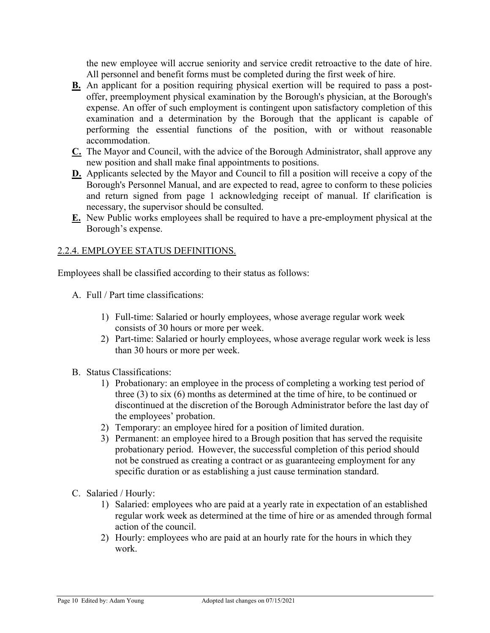the new employee will accrue seniority and service credit retroactive to the date of hire. All personnel and benefit forms must be completed during the first week of hire.

- **B.** An applicant for a position requiring physical exertion will be required to pass a postoffer, preemployment physical examination by the Borough's physician, at the Borough's expense. An offer of such employment is contingent upon satisfactory completion of this examination and a determination by the Borough that the applicant is capable of performing the essential functions of the position, with or without reasonable accommodation.
- **C.** The Mayor and Council, with the advice of the Borough Administrator, shall approve any new position and shall make final appointments to positions.
- **D.** Applicants selected by the Mayor and Council to fill a position will receive a copy of the Borough's Personnel Manual, and are expected to read, agree to conform to these policies and return signed from page 1 acknowledging receipt of manual. If clarification is necessary, the supervisor should be consulted.
- **E.** New Public works employees shall be required to have a pre-employment physical at the Borough's expense.

## 2.2.4. EMPLOYEE STATUS DEFINITIONS.

Employees shall be classified according to their status as follows:

- A. Full / Part time classifications:
	- 1) Full-time: Salaried or hourly employees, whose average regular work week consists of 30 hours or more per week.
	- 2) Part-time: Salaried or hourly employees, whose average regular work week is less than 30 hours or more per week.
- B. Status Classifications:
	- 1) Probationary: an employee in the process of completing a working test period of three (3) to six (6) months as determined at the time of hire, to be continued or discontinued at the discretion of the Borough Administrator before the last day of the employees' probation.
	- 2) Temporary: an employee hired for a position of limited duration.
	- 3) Permanent: an employee hired to a Brough position that has served the requisite probationary period. However, the successful completion of this period should not be construed as creating a contract or as guaranteeing employment for any specific duration or as establishing a just cause termination standard.
- C. Salaried / Hourly:
	- 1) Salaried: employees who are paid at a yearly rate in expectation of an established regular work week as determined at the time of hire or as amended through formal action of the council.
	- 2) Hourly: employees who are paid at an hourly rate for the hours in which they work.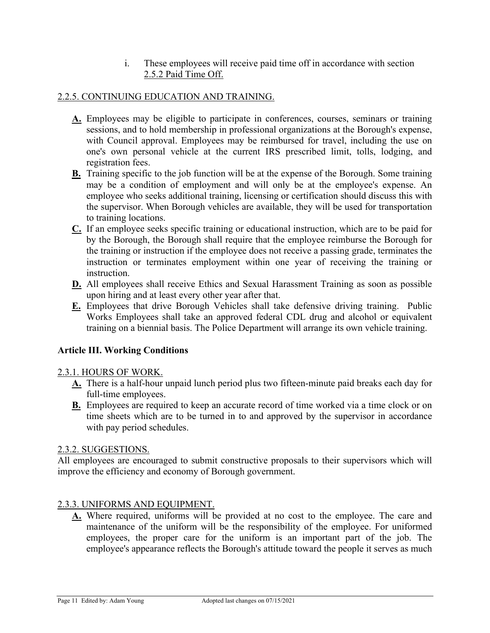i. These employees will receive paid time off in accordance with section 2.5.2 Paid Time Off.

## 2.2.5. CONTINUING EDUCATION AND TRAINING.

- **A.** Employees may be eligible to participate in conferences, courses, seminars or training sessions, and to hold membership in professional organizations at the Borough's expense, with Council approval. Employees may be reimbursed for travel, including the use on one's own personal vehicle at the current IRS prescribed limit, tolls, lodging, and registration fees.
- **B.** Training specific to the job function will be at the expense of the Borough. Some training may be a condition of employment and will only be at the employee's expense. An employee who seeks additional training, licensing or certification should discuss this with the supervisor. When Borough vehicles are available, they will be used for transportation to training locations.
- **C.** If an employee seeks specific training or educational instruction, which are to be paid for by the Borough, the Borough shall require that the employee reimburse the Borough for the training or instruction if the employee does not receive a passing grade, terminates the instruction or terminates employment within one year of receiving the training or instruction.
- **D.** All employees shall receive Ethics and Sexual Harassment Training as soon as possible upon hiring and at least every other year after that.
- **E.** Employees that drive Borough Vehicles shall take defensive driving training. Public Works Employees shall take an approved federal CDL drug and alcohol or equivalent training on a biennial basis. The Police Department will arrange its own vehicle training.

## **Article III. Working Conditions**

## 2.3.1. HOURS OF WORK.

- **A.** There is a half-hour unpaid lunch period plus two fifteen-minute paid breaks each day for full-time employees.
- **B.** Employees are required to keep an accurate record of time worked via a time clock or on time sheets which are to be turned in to and approved by the supervisor in accordance with pay period schedules.

## 2.3.2. SUGGESTIONS.

All employees are encouraged to submit constructive proposals to their supervisors which will improve the efficiency and economy of Borough government.

## 2.3.3. UNIFORMS AND EQUIPMENT.

**A.** Where required, uniforms will be provided at no cost to the employee. The care and maintenance of the uniform will be the responsibility of the employee. For uniformed employees, the proper care for the uniform is an important part of the job. The employee's appearance reflects the Borough's attitude toward the people it serves as much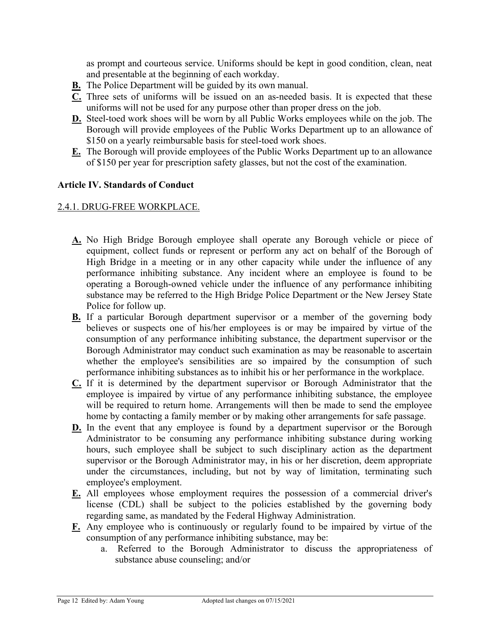as prompt and courteous service. Uniforms should be kept in good condition, clean, neat and presentable at the beginning of each workday.

- **B.** The Police Department will be guided by its own manual.
- **C.** Three sets of uniforms will be issued on an as-needed basis. It is expected that these uniforms will not be used for any purpose other than proper dress on the job.
- **D.** Steel-toed work shoes will be worn by all Public Works employees while on the job. The Borough will provide employees of the Public Works Department up to an allowance of \$150 on a yearly reimbursable basis for steel-toed work shoes.
- **E.** The Borough will provide employees of the Public Works Department up to an allowance of \$150 per year for prescription safety glasses, but not the cost of the examination.

## **Article IV. Standards of Conduct**

## 2.4.1. DRUG-FREE WORKPLACE.

- **A.** No High Bridge Borough employee shall operate any Borough vehicle or piece of equipment, collect funds or represent or perform any act on behalf of the Borough of High Bridge in a meeting or in any other capacity while under the influence of any performance inhibiting substance. Any incident where an employee is found to be operating a Borough-owned vehicle under the influence of any performance inhibiting substance may be referred to the High Bridge Police Department or the New Jersey State Police for follow up.
- **B.** If a particular Borough department supervisor or a member of the governing body believes or suspects one of his/her employees is or may be impaired by virtue of the consumption of any performance inhibiting substance, the department supervisor or the Borough Administrator may conduct such examination as may be reasonable to ascertain whether the employee's sensibilities are so impaired by the consumption of such performance inhibiting substances as to inhibit his or her performance in the workplace.
- **C.** If it is determined by the department supervisor or Borough Administrator that the employee is impaired by virtue of any performance inhibiting substance, the employee will be required to return home. Arrangements will then be made to send the employee home by contacting a family member or by making other arrangements for safe passage.
- **D.** In the event that any employee is found by a department supervisor or the Borough Administrator to be consuming any performance inhibiting substance during working hours, such employee shall be subject to such disciplinary action as the department supervisor or the Borough Administrator may, in his or her discretion, deem appropriate under the circumstances, including, but not by way of limitation, terminating such employee's employment.
- **E.** All employees whose employment requires the possession of a commercial driver's license (CDL) shall be subject to the policies established by the governing body regarding same, as mandated by the Federal Highway Administration.
- **F.** Any employee who is continuously or regularly found to be impaired by virtue of the consumption of any performance inhibiting substance, may be:
	- a. Referred to the Borough Administrator to discuss the appropriateness of substance abuse counseling; and/or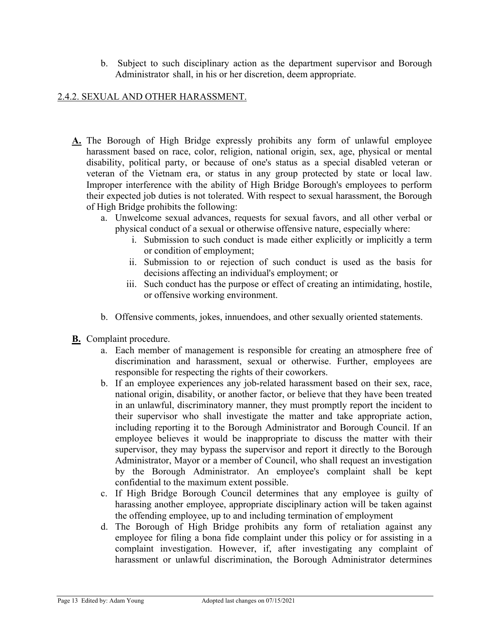b. Subject to such disciplinary action as the department supervisor and Borough Administrator shall, in his or her discretion, deem appropriate.

#### 2.4.2. SEXUAL AND OTHER HARASSMENT.

- **A.** The Borough of High Bridge expressly prohibits any form of unlawful employee harassment based on race, color, religion, national origin, sex, age, physical or mental disability, political party, or because of one's status as a special disabled veteran or veteran of the Vietnam era, or status in any group protected by state or local law. Improper interference with the ability of High Bridge Borough's employees to perform their expected job duties is not tolerated. With respect to sexual harassment, the Borough of High Bridge prohibits the following:
	- a. Unwelcome sexual advances, requests for sexual favors, and all other verbal or physical conduct of a sexual or otherwise offensive nature, especially where:
		- i. Submission to such conduct is made either explicitly or implicitly a term or condition of employment;
		- ii. Submission to or rejection of such conduct is used as the basis for decisions affecting an individual's employment; or
		- iii. Such conduct has the purpose or effect of creating an intimidating, hostile, or offensive working environment.
	- b. Offensive comments, jokes, innuendoes, and other sexually oriented statements.
- **B.** Complaint procedure.
	- a. Each member of management is responsible for creating an atmosphere free of discrimination and harassment, sexual or otherwise. Further, employees are responsible for respecting the rights of their coworkers.
	- b. If an employee experiences any job-related harassment based on their sex, race, national origin, disability, or another factor, or believe that they have been treated in an unlawful, discriminatory manner, they must promptly report the incident to their supervisor who shall investigate the matter and take appropriate action, including reporting it to the Borough Administrator and Borough Council. If an employee believes it would be inappropriate to discuss the matter with their supervisor, they may bypass the supervisor and report it directly to the Borough Administrator, Mayor or a member of Council, who shall request an investigation by the Borough Administrator. An employee's complaint shall be kept confidential to the maximum extent possible.
	- c. If High Bridge Borough Council determines that any employee is guilty of harassing another employee, appropriate disciplinary action will be taken against the offending employee, up to and including termination of employment
	- d. The Borough of High Bridge prohibits any form of retaliation against any employee for filing a bona fide complaint under this policy or for assisting in a complaint investigation. However, if, after investigating any complaint of harassment or unlawful discrimination, the Borough Administrator determines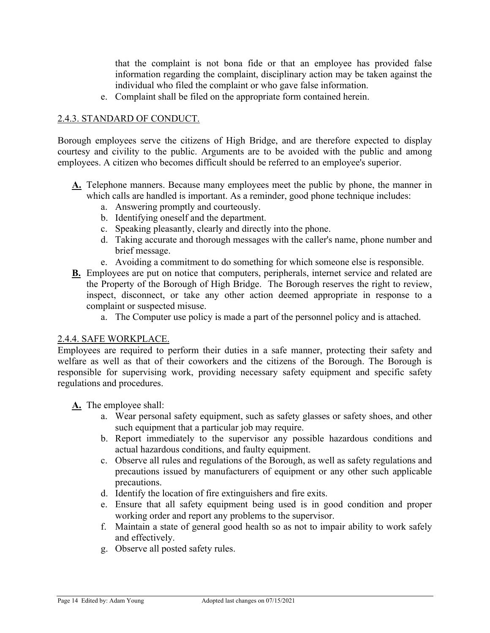that the complaint is not bona fide or that an employee has provided false information regarding the complaint, disciplinary action may be taken against the individual who filed the complaint or who gave false information.

e. Complaint shall be filed on the appropriate form contained herein.

## 2.4.3. STANDARD OF CONDUCT.

Borough employees serve the citizens of High Bridge, and are therefore expected to display courtesy and civility to the public. Arguments are to be avoided with the public and among employees. A citizen who becomes difficult should be referred to an employee's superior.

- **A.** Telephone manners. Because many employees meet the public by phone, the manner in which calls are handled is important. As a reminder, good phone technique includes:
	- a. Answering promptly and courteously.
	- b. Identifying oneself and the department.
	- c. Speaking pleasantly, clearly and directly into the phone.
	- d. Taking accurate and thorough messages with the caller's name, phone number and brief message.
	- e. Avoiding a commitment to do something for which someone else is responsible.
- **B.** Employees are put on notice that computers, peripherals, internet service and related are the Property of the Borough of High Bridge. The Borough reserves the right to review, inspect, disconnect, or take any other action deemed appropriate in response to a complaint or suspected misuse.
	- a. The Computer use policy is made a part of the personnel policy and is attached.

## 2.4.4. SAFE WORKPLACE.

Employees are required to perform their duties in a safe manner, protecting their safety and welfare as well as that of their coworkers and the citizens of the Borough. The Borough is responsible for supervising work, providing necessary safety equipment and specific safety regulations and procedures.

**A.** The employee shall:

- a. Wear personal safety equipment, such as safety glasses or safety shoes, and other such equipment that a particular job may require.
- b. Report immediately to the supervisor any possible hazardous conditions and actual hazardous conditions, and faulty equipment.
- c. Observe all rules and regulations of the Borough, as well as safety regulations and precautions issued by manufacturers of equipment or any other such applicable precautions.
- d. Identify the location of fire extinguishers and fire exits.
- e. Ensure that all safety equipment being used is in good condition and proper working order and report any problems to the supervisor.
- f. Maintain a state of general good health so as not to impair ability to work safely and effectively.
- g. Observe all posted safety rules.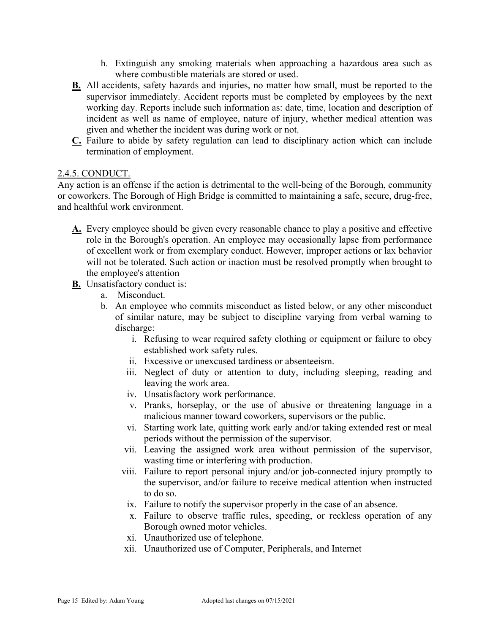- h. Extinguish any smoking materials when approaching a hazardous area such as where combustible materials are stored or used.
- **B.** All accidents, safety hazards and injuries, no matter how small, must be reported to the supervisor immediately. Accident reports must be completed by employees by the next working day. Reports include such information as: date, time, location and description of incident as well as name of employee, nature of injury, whether medical attention was given and whether the incident was during work or not.
- **C.** Failure to abide by safety regulation can lead to disciplinary action which can include termination of employment.

## 2.4.5. CONDUCT.

Any action is an offense if the action is detrimental to the well-being of the Borough, community or coworkers. The Borough of High Bridge is committed to maintaining a safe, secure, drug-free, and healthful work environment.

- **A.** Every employee should be given every reasonable chance to play a positive and effective role in the Borough's operation. An employee may occasionally lapse from performance of excellent work or from exemplary conduct. However, improper actions or lax behavior will not be tolerated. Such action or inaction must be resolved promptly when brought to the employee's attention
- **B.** Unsatisfactory conduct is:
	- a. Misconduct.
	- b. An employee who commits misconduct as listed below, or any other misconduct of similar nature, may be subject to discipline varying from verbal warning to discharge:
		- i. Refusing to wear required safety clothing or equipment or failure to obey established work safety rules.
		- ii. Excessive or unexcused tardiness or absenteeism.
		- iii. Neglect of duty or attention to duty, including sleeping, reading and leaving the work area.
		- iv. Unsatisfactory work performance.
		- v. Pranks, horseplay, or the use of abusive or threatening language in a malicious manner toward coworkers, supervisors or the public.
		- vi. Starting work late, quitting work early and/or taking extended rest or meal periods without the permission of the supervisor.
		- vii. Leaving the assigned work area without permission of the supervisor, wasting time or interfering with production.
		- viii. Failure to report personal injury and/or job-connected injury promptly to the supervisor, and/or failure to receive medical attention when instructed to do so.
			- ix. Failure to notify the supervisor properly in the case of an absence.
			- x. Failure to observe traffic rules, speeding, or reckless operation of any Borough owned motor vehicles.
		- xi. Unauthorized use of telephone.
		- xii. Unauthorized use of Computer, Peripherals, and Internet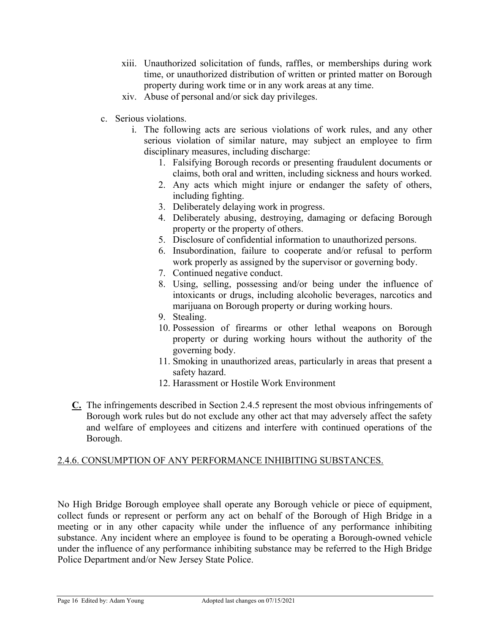- xiii. Unauthorized solicitation of funds, raffles, or memberships during work time, or unauthorized distribution of written or printed matter on Borough property during work time or in any work areas at any time.
- xiv. Abuse of personal and/or sick day privileges.
- c. Serious violations.
	- i. The following acts are serious violations of work rules, and any other serious violation of similar nature, may subject an employee to firm disciplinary measures, including discharge:
		- 1. Falsifying Borough records or presenting fraudulent documents or claims, both oral and written, including sickness and hours worked.
		- 2. Any acts which might injure or endanger the safety of others, including fighting.
		- 3. Deliberately delaying work in progress.
		- 4. Deliberately abusing, destroying, damaging or defacing Borough property or the property of others.
		- 5. Disclosure of confidential information to unauthorized persons.
		- 6. Insubordination, failure to cooperate and/or refusal to perform work properly as assigned by the supervisor or governing body.
		- 7. Continued negative conduct.
		- 8. Using, selling, possessing and/or being under the influence of intoxicants or drugs, including alcoholic beverages, narcotics and marijuana on Borough property or during working hours.
		- 9. Stealing.
		- 10. Possession of firearms or other lethal weapons on Borough property or during working hours without the authority of the governing body.
		- 11. Smoking in unauthorized areas, particularly in areas that present a safety hazard.
		- 12. Harassment or Hostile Work Environment
- **C.** The infringements described in Section 2.4.5 represent the most obvious infringements of Borough work rules but do not exclude any other act that may adversely affect the safety and welfare of employees and citizens and interfere with continued operations of the Borough.

## 2.4.6. CONSUMPTION OF ANY PERFORMANCE INHIBITING SUBSTANCES.

No High Bridge Borough employee shall operate any Borough vehicle or piece of equipment, collect funds or represent or perform any act on behalf of the Borough of High Bridge in a meeting or in any other capacity while under the influence of any performance inhibiting substance. Any incident where an employee is found to be operating a Borough-owned vehicle under the influence of any performance inhibiting substance may be referred to the High Bridge Police Department and/or New Jersey State Police.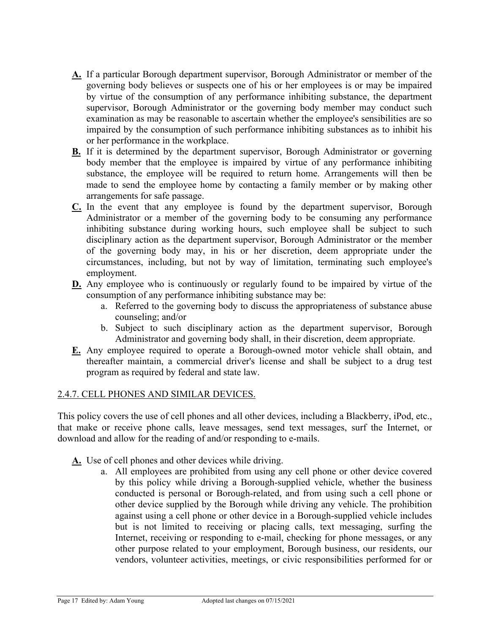- **A.** If a particular Borough department supervisor, Borough Administrator or member of the governing body believes or suspects one of his or her employees is or may be impaired by virtue of the consumption of any performance inhibiting substance, the department supervisor, Borough Administrator or the governing body member may conduct such examination as may be reasonable to ascertain whether the employee's sensibilities are so impaired by the consumption of such performance inhibiting substances as to inhibit his or her performance in the workplace.
- **B.** If it is determined by the department supervisor, Borough Administrator or governing body member that the employee is impaired by virtue of any performance inhibiting substance, the employee will be required to return home. Arrangements will then be made to send the employee home by contacting a family member or by making other arrangements for safe passage.
- **C.** In the event that any employee is found by the department supervisor, Borough Administrator or a member of the governing body to be consuming any performance inhibiting substance during working hours, such employee shall be subject to such disciplinary action as the department supervisor, Borough Administrator or the member of the governing body may, in his or her discretion, deem appropriate under the circumstances, including, but not by way of limitation, terminating such employee's employment.
- **D.** Any employee who is continuously or regularly found to be impaired by virtue of the consumption of any performance inhibiting substance may be:
	- a. Referred to the governing body to discuss the appropriateness of substance abuse counseling; and/or
	- b. Subject to such disciplinary action as the department supervisor, Borough Administrator and governing body shall, in their discretion, deem appropriate.
- **E.** Any employee required to operate a Borough-owned motor vehicle shall obtain, and thereafter maintain, a commercial driver's license and shall be subject to a drug test program as required by federal and state law.

## 2.4.7. CELL PHONES AND SIMILAR DEVICES.

This policy covers the use of cell phones and all other devices, including a Blackberry, iPod, etc., that make or receive phone calls, leave messages, send text messages, surf the Internet, or download and allow for the reading of and/or responding to e-mails.

- **A.** Use of cell phones and other devices while driving.
	- a. All employees are prohibited from using any cell phone or other device covered by this policy while driving a Borough-supplied vehicle, whether the business conducted is personal or Borough-related, and from using such a cell phone or other device supplied by the Borough while driving any vehicle. The prohibition against using a cell phone or other device in a Borough-supplied vehicle includes but is not limited to receiving or placing calls, text messaging, surfing the Internet, receiving or responding to e-mail, checking for phone messages, or any other purpose related to your employment, Borough business, our residents, our vendors, volunteer activities, meetings, or civic responsibilities performed for or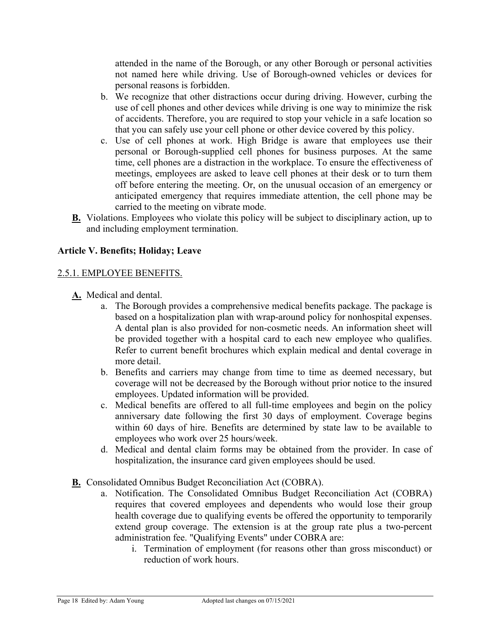attended in the name of the Borough, or any other Borough or personal activities not named here while driving. Use of Borough-owned vehicles or devices for personal reasons is forbidden.

- b. We recognize that other distractions occur during driving. However, curbing the use of cell phones and other devices while driving is one way to minimize the risk of accidents. Therefore, you are required to stop your vehicle in a safe location so that you can safely use your cell phone or other device covered by this policy.
- c. Use of cell phones at work. High Bridge is aware that employees use their personal or Borough-supplied cell phones for business purposes. At the same time, cell phones are a distraction in the workplace. To ensure the effectiveness of meetings, employees are asked to leave cell phones at their desk or to turn them off before entering the meeting. Or, on the unusual occasion of an emergency or anticipated emergency that requires immediate attention, the cell phone may be carried to the meeting on vibrate mode.
- **B.** Violations. Employees who violate this policy will be subject to disciplinary action, up to and including employment termination.

## **Article V. Benefits; Holiday; Leave**

#### 2.5.1. EMPLOYEE BENEFITS.

- **A.** Medical and dental.
	- a. The Borough provides a comprehensive medical benefits package. The package is based on a hospitalization plan with wrap-around policy for nonhospital expenses. A dental plan is also provided for non-cosmetic needs. An information sheet will be provided together with a hospital card to each new employee who qualifies. Refer to current benefit brochures which explain medical and dental coverage in more detail.
	- b. Benefits and carriers may change from time to time as deemed necessary, but coverage will not be decreased by the Borough without prior notice to the insured employees. Updated information will be provided.
	- c. Medical benefits are offered to all full-time employees and begin on the policy anniversary date following the first 30 days of employment. Coverage begins within 60 days of hire. Benefits are determined by state law to be available to employees who work over 25 hours/week.
	- d. Medical and dental claim forms may be obtained from the provider. In case of hospitalization, the insurance card given employees should be used.
- **B.** Consolidated Omnibus Budget Reconciliation Act (COBRA).
	- a. Notification. The Consolidated Omnibus Budget Reconciliation Act (COBRA) requires that covered employees and dependents who would lose their group health coverage due to qualifying events be offered the opportunity to temporarily extend group coverage. The extension is at the group rate plus a two-percent administration fee. "Qualifying Events" under COBRA are:
		- i. Termination of employment (for reasons other than gross misconduct) or reduction of work hours.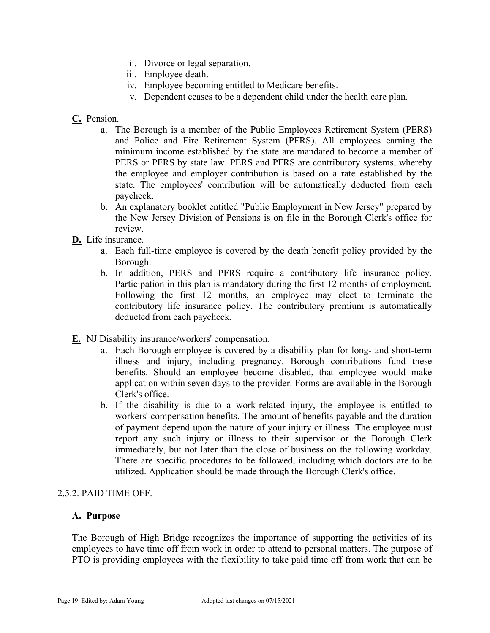- ii. Divorce or legal separation.
- iii. Employee death.
- iv. Employee becoming entitled to Medicare benefits.
- v. Dependent ceases to be a dependent child under the health care plan.
- **C.** Pension.
	- a. The Borough is a member of the Public Employees Retirement System (PERS) and Police and Fire Retirement System (PFRS). All employees earning the minimum income established by the state are mandated to become a member of PERS or PFRS by state law. PERS and PFRS are contributory systems, whereby the employee and employer contribution is based on a rate established by the state. The employees' contribution will be automatically deducted from each paycheck.
	- b. An explanatory booklet entitled "Public Employment in New Jersey" prepared by the New Jersey Division of Pensions is on file in the Borough Clerk's office for review.
- **D.** Life insurance.
	- a. Each full-time employee is covered by the death benefit policy provided by the Borough.
	- b. In addition, PERS and PFRS require a contributory life insurance policy. Participation in this plan is mandatory during the first 12 months of employment. Following the first 12 months, an employee may elect to terminate the contributory life insurance policy. The contributory premium is automatically deducted from each paycheck.
- **E.** NJ Disability insurance/workers' compensation.
	- a. Each Borough employee is covered by a disability plan for long- and short-term illness and injury, including pregnancy. Borough contributions fund these benefits. Should an employee become disabled, that employee would make application within seven days to the provider. Forms are available in the Borough Clerk's office.
	- b. If the disability is due to a work-related injury, the employee is entitled to workers' compensation benefits. The amount of benefits payable and the duration of payment depend upon the nature of your injury or illness. The employee must report any such injury or illness to their supervisor or the Borough Clerk immediately, but not later than the close of business on the following workday. There are specific procedures to be followed, including which doctors are to be utilized. Application should be made through the Borough Clerk's office.

#### 2.5.2. PAID TIME OFF.

#### **A. Purpose**

The Borough of High Bridge recognizes the importance of supporting the activities of its employees to have time off from work in order to attend to personal matters. The purpose of PTO is providing employees with the flexibility to take paid time off from work that can be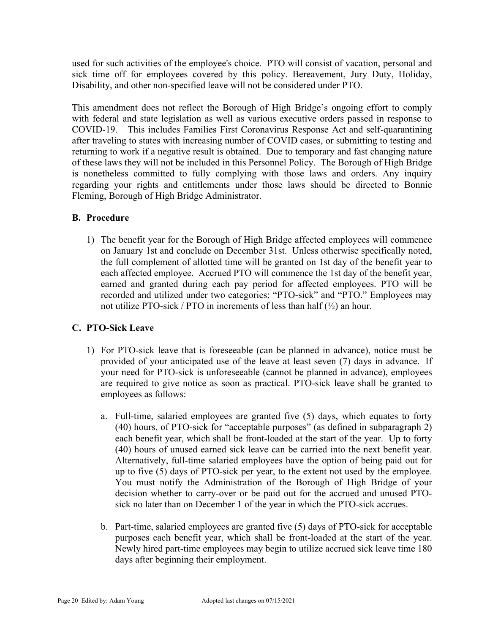used for such activities of the employee's choice. PTO will consist of vacation, personal and sick time off for employees covered by this policy. Bereavement, Jury Duty, Holiday, Disability, and other non-specified leave will not be considered under PTO.

This amendment does not reflect the Borough of High Bridge's ongoing effort to comply with federal and state legislation as well as various executive orders passed in response to COVID-19. This includes Families First Coronavirus Response Act and self-quarantining after traveling to states with increasing number of COVID cases, or submitting to testing and returning to work if a negative result is obtained. Due to temporary and fast changing nature of these laws they will not be included in this Personnel Policy. The Borough of High Bridge is nonetheless committed to fully complying with those laws and orders. Any inquiry regarding your rights and entitlements under those laws should be directed to Bonnie Fleming, Borough of High Bridge Administrator.

## **B. Procedure**

1) The benefit year for the Borough of High Bridge affected employees will commence on January 1st and conclude on December 31st. Unless otherwise specifically noted, the full complement of allotted time will be granted on 1st day of the benefit year to each affected employee. Accrued PTO will commence the 1st day of the benefit year, earned and granted during each pay period for affected employees. PTO will be recorded and utilized under two categories; "PTO-sick" and "PTO." Employees may not utilize PTO-sick / PTO in increments of less than half  $(\frac{1}{2})$  an hour.

# **C. PTO-Sick Leave**

- 1) For PTO-sick leave that is foreseeable (can be planned in advance), notice must be provided of your anticipated use of the leave at least seven (7) days in advance. If your need for PTO-sick is unforeseeable (cannot be planned in advance), employees are required to give notice as soon as practical. PTO-sick leave shall be granted to employees as follows:
	- a. Full-time, salaried employees are granted five (5) days, which equates to forty (40) hours, of PTO-sick for "acceptable purposes" (as defined in subparagraph 2) each benefit year, which shall be front-loaded at the start of the year. Up to forty (40) hours of unused earned sick leave can be carried into the next benefit year. Alternatively, full-time salaried employees have the option of being paid out for up to five (5) days of PTO-sick per year, to the extent not used by the employee. You must notify the Administration of the Borough of High Bridge of your decision whether to carry-over or be paid out for the accrued and unused PTOsick no later than on December 1 of the year in which the PTO-sick accrues.
	- b. Part-time, salaried employees are granted five (5) days of PTO-sick for acceptable purposes each benefit year, which shall be front-loaded at the start of the year. Newly hired part-time employees may begin to utilize accrued sick leave time 180 days after beginning their employment.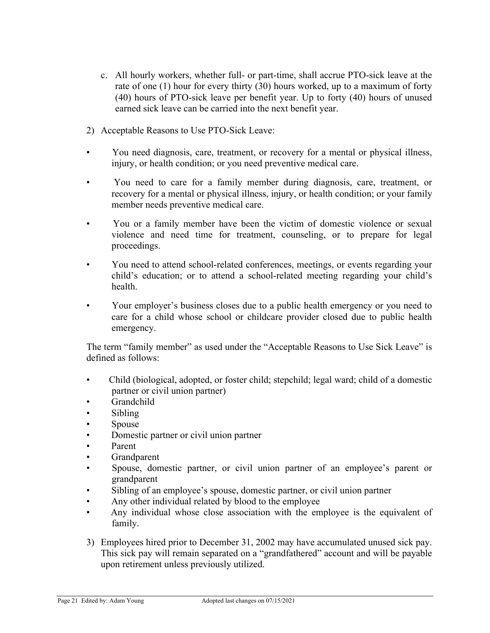- c. All hourly workers, whether full- or part-time, shall accrue PTO-sick leave at the rate of one (1) hour for every thirty (30) hours worked, up to a maximum of forty (40) hours of PTO-sick leave per benefit year. Up to forty (40) hours of unused earned sick leave can be carried into the next benefit year.
- 2) Acceptable Reasons to Use PTO-Sick Leave:
- You need diagnosis, care, treatment, or recovery for a mental or physical illness, injury, or health condition; or you need preventive medical care.
- You need to care for a family member during diagnosis, care, treatment, or recovery for a mental or physical illness, injury, or health condition; or your family member needs preventive medical care.
- You or a family member have been the victim of domestic violence or sexual violence and need time for treatment, counseling, or to prepare for legal proceedings.
- You need to attend school-related conferences, meetings, or events regarding your child's education; or to attend a school-related meeting regarding your child's health.
- Your employer's business closes due to a public health emergency or you need to care for a child whose school or childcare provider closed due to public health emergency.

The term "family member" as used under the "Acceptable Reasons to Use Sick Leave" is defined as follows:

- Child (biological, adopted, or foster child; stepchild; legal ward; child of a domestic partner or civil union partner)
- Grandchild
- Sibling
- Spouse
- Domestic partner or civil union partner
- Parent
- **Grandparent**
- Spouse, domestic partner, or civil union partner of an employee's parent or grandparent
- Sibling of an employee's spouse, domestic partner, or civil union partner
- Any other individual related by blood to the employee
- Any individual whose close association with the employee is the equivalent of family.
- 3) Employees hired prior to December 31, 2002 may have accumulated unused sick pay. This sick pay will remain separated on a "grandfathered" account and will be payable upon retirement unless previously utilized.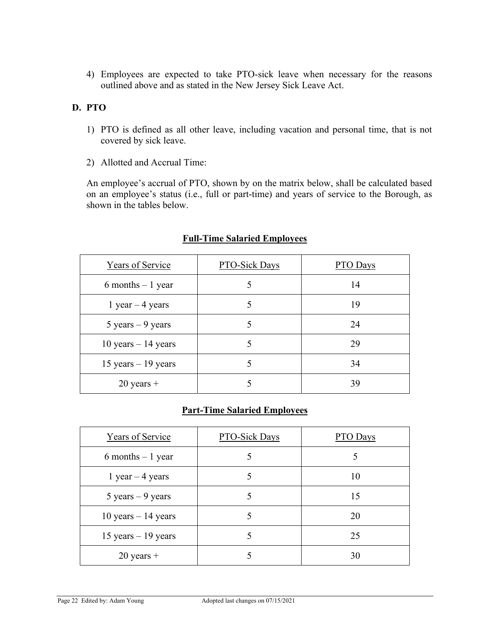4) Employees are expected to take PTO-sick leave when necessary for the reasons outlined above and as stated in the New Jersey Sick Leave Act.

## **D. PTO**

- 1) PTO is defined as all other leave, including vacation and personal time, that is not covered by sick leave.
- 2) Allotted and Accrual Time:

An employee's accrual of PTO, shown by on the matrix below, shall be calculated based on an employee's status (i.e., full or part-time) and years of service to the Borough, as shown in the tables below.

| Years of Service                    | PTO-Sick Days | PTO Days |
|-------------------------------------|---------------|----------|
| $6$ months $-1$ year                |               | 14       |
| 1 year $-$ 4 years                  |               | 19       |
| $5 \text{ years} - 9 \text{ years}$ |               | 24       |
| 10 years $-14$ years                |               | 29       |
| 15 years $-19$ years                |               | 34       |
| $20$ years +                        |               | 39       |

## **Full-Time Salaried Employees**

## **Part-Time Salaried Employees**

| Years of Service                    | PTO-Sick Days | PTO Days |
|-------------------------------------|---------------|----------|
| $6$ months $-1$ year                |               |          |
| 1 year $-$ 4 years                  |               | 10       |
| $5 \text{ years} - 9 \text{ years}$ |               | 15       |
| 10 years $-14$ years                |               | 20       |
| 15 years $-19$ years                |               | 25       |
| $20$ years +                        |               | 30       |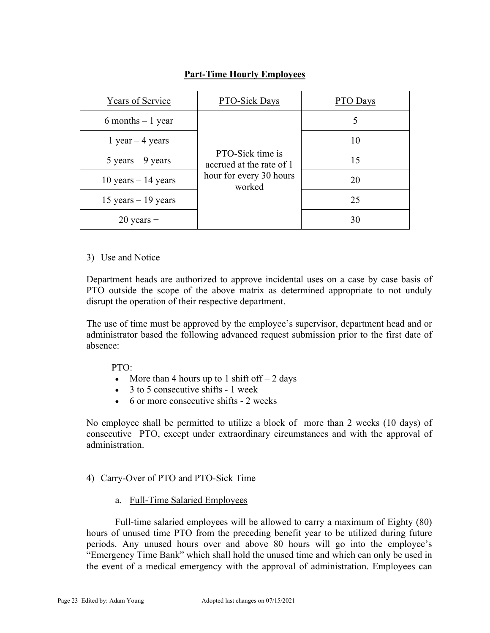| Years of Service                    | PTO-Sick Days                                                                     | <b>PTO</b> Days |
|-------------------------------------|-----------------------------------------------------------------------------------|-----------------|
| $6$ months $-1$ year                | PTO-Sick time is<br>accrued at the rate of 1<br>hour for every 30 hours<br>worked | 5               |
| 1 year $-$ 4 years                  |                                                                                   | 10              |
| $5 \text{ years} - 9 \text{ years}$ |                                                                                   | 15              |
| 10 years $-14$ years                |                                                                                   | 20              |
| 15 years $-19$ years                |                                                                                   | 25              |
| $20$ years $+$                      |                                                                                   | 30              |

# **Part-Time Hourly Employees**

#### 3) Use and Notice

Department heads are authorized to approve incidental uses on a case by case basis of PTO outside the scope of the above matrix as determined appropriate to not unduly disrupt the operation of their respective department.

The use of time must be approved by the employee's supervisor, department head and or administrator based the following advanced request submission prior to the first date of absence:

#### PTO:

- More than 4 hours up to 1 shift of  $f 2$  days
- $\bullet$  3 to 5 consecutive shifts 1 week
- 6 or more consecutive shifts 2 weeks

No employee shall be permitted to utilize a block of more than 2 weeks (10 days) of consecutive PTO, except under extraordinary circumstances and with the approval of administration.

## 4) Carry-Over of PTO and PTO-Sick Time

a. Full-Time Salaried Employees

Full-time salaried employees will be allowed to carry a maximum of Eighty (80) hours of unused time PTO from the preceding benefit year to be utilized during future periods. Any unused hours over and above 80 hours will go into the employee's "Emergency Time Bank" which shall hold the unused time and which can only be used in the event of a medical emergency with the approval of administration. Employees can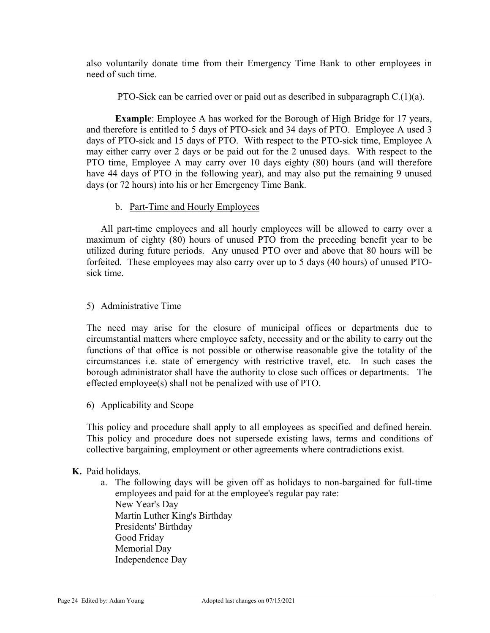also voluntarily donate time from their Emergency Time Bank to other employees in need of such time.

PTO-Sick can be carried over or paid out as described in subparagraph C.(1)(a).

**Example**: Employee A has worked for the Borough of High Bridge for 17 years, and therefore is entitled to 5 days of PTO-sick and 34 days of PTO. Employee A used 3 days of PTO-sick and 15 days of PTO. With respect to the PTO-sick time, Employee A may either carry over 2 days or be paid out for the 2 unused days. With respect to the PTO time, Employee A may carry over 10 days eighty (80) hours (and will therefore have 44 days of PTO in the following year), and may also put the remaining 9 unused days (or 72 hours) into his or her Emergency Time Bank.

#### b. Part-Time and Hourly Employees

All part-time employees and all hourly employees will be allowed to carry over a maximum of eighty (80) hours of unused PTO from the preceding benefit year to be utilized during future periods. Any unused PTO over and above that 80 hours will be forfeited. These employees may also carry over up to 5 days (40 hours) of unused PTOsick time.

#### 5) Administrative Time

The need may arise for the closure of municipal offices or departments due to circumstantial matters where employee safety, necessity and or the ability to carry out the functions of that office is not possible or otherwise reasonable give the totality of the circumstances i.e. state of emergency with restrictive travel, etc. In such cases the borough administrator shall have the authority to close such offices or departments. The effected employee(s) shall not be penalized with use of PTO.

6) Applicability and Scope

This policy and procedure shall apply to all employees as specified and defined herein. This policy and procedure does not supersede existing laws, terms and conditions of collective bargaining, employment or other agreements where contradictions exist.

#### **K.** Paid holidays.

a. The following days will be given off as holidays to non-bargained for full-time employees and paid for at the employee's regular pay rate: New Year's Day Martin Luther King's Birthday Presidents' Birthday Good Friday Memorial Day Independence Day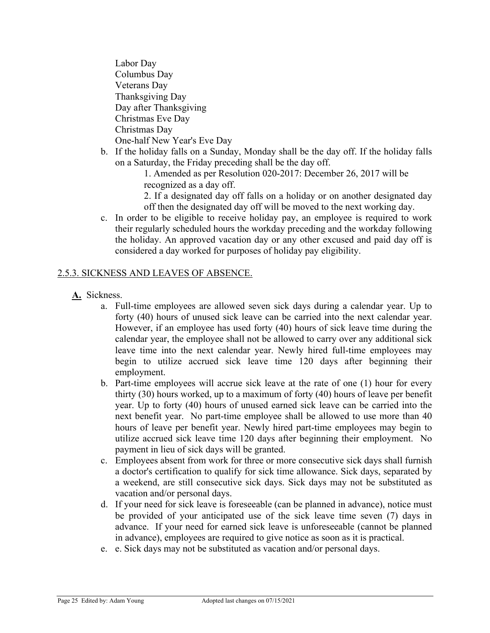Labor Day Columbus Day Veterans Day Thanksgiving Day Day after Thanksgiving Christmas Eve Day Christmas Day One-half New Year's Eve Day

b. If the holiday falls on a Sunday, Monday shall be the day off. If the holiday falls on a Saturday, the Friday preceding shall be the day off.

 1. Amended as per Resolution 020-2017: December 26, 2017 will be recognized as a day off.

2. If a designated day off falls on a holiday or on another designated day off then the designated day off will be moved to the next working day.

c. In order to be eligible to receive holiday pay, an employee is required to work their regularly scheduled hours the workday preceding and the workday following the holiday. An approved vacation day or any other excused and paid day off is considered a day worked for purposes of holiday pay eligibility.

## 2.5.3. SICKNESS AND LEAVES OF ABSENCE.

- **A.** Sickness.
	- a. Full-time employees are allowed seven sick days during a calendar year. Up to forty (40) hours of unused sick leave can be carried into the next calendar year. However, if an employee has used forty (40) hours of sick leave time during the calendar year, the employee shall not be allowed to carry over any additional sick leave time into the next calendar year. Newly hired full-time employees may begin to utilize accrued sick leave time 120 days after beginning their employment.
	- b. Part-time employees will accrue sick leave at the rate of one (1) hour for every thirty (30) hours worked, up to a maximum of forty (40) hours of leave per benefit year. Up to forty (40) hours of unused earned sick leave can be carried into the next benefit year. No part-time employee shall be allowed to use more than 40 hours of leave per benefit year. Newly hired part-time employees may begin to utilize accrued sick leave time 120 days after beginning their employment. No payment in lieu of sick days will be granted.
	- c. Employees absent from work for three or more consecutive sick days shall furnish a doctor's certification to qualify for sick time allowance. Sick days, separated by a weekend, are still consecutive sick days. Sick days may not be substituted as vacation and/or personal days.
	- d. If your need for sick leave is foreseeable (can be planned in advance), notice must be provided of your anticipated use of the sick leave time seven (7) days in advance. If your need for earned sick leave is unforeseeable (cannot be planned in advance), employees are required to give notice as soon as it is practical.
	- e. e. Sick days may not be substituted as vacation and/or personal days.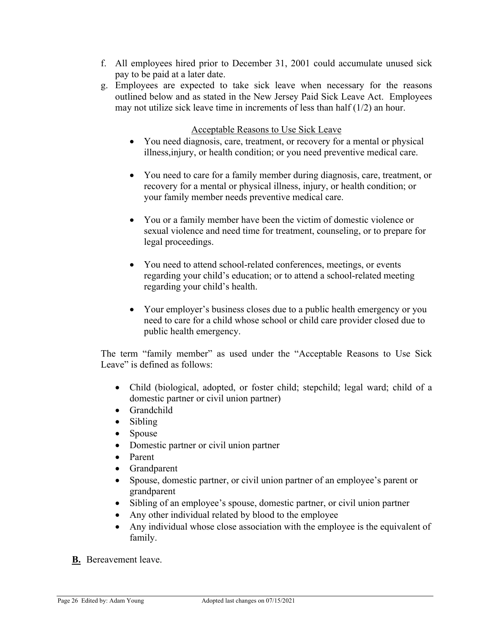- f. All employees hired prior to December 31, 2001 could accumulate unused sick pay to be paid at a later date.
- g. Employees are expected to take sick leave when necessary for the reasons outlined below and as stated in the New Jersey Paid Sick Leave Act. Employees may not utilize sick leave time in increments of less than half (1/2) an hour.

#### Acceptable Reasons to Use Sick Leave

- You need diagnosis, care, treatment, or recovery for a mental or physical illness,injury, or health condition; or you need preventive medical care.
- You need to care for a family member during diagnosis, care, treatment, or recovery for a mental or physical illness, injury, or health condition; or your family member needs preventive medical care.
- You or a family member have been the victim of domestic violence or sexual violence and need time for treatment, counseling, or to prepare for legal proceedings.
- You need to attend school-related conferences, meetings, or events regarding your child's education; or to attend a school-related meeting regarding your child's health.
- Your employer's business closes due to a public health emergency or you need to care for a child whose school or child care provider closed due to public health emergency.

The term "family member" as used under the "Acceptable Reasons to Use Sick Leave" is defined as follows:

- Child (biological, adopted, or foster child; stepchild; legal ward; child of a domestic partner or civil union partner)
- Grandchild
- Sibling
- Spouse
- Domestic partner or civil union partner
- Parent
- Grandparent
- Spouse, domestic partner, or civil union partner of an employee's parent or grandparent
- Sibling of an employee's spouse, domestic partner, or civil union partner
- Any other individual related by blood to the employee
- Any individual whose close association with the employee is the equivalent of family.
- **B.** Bereavement leave.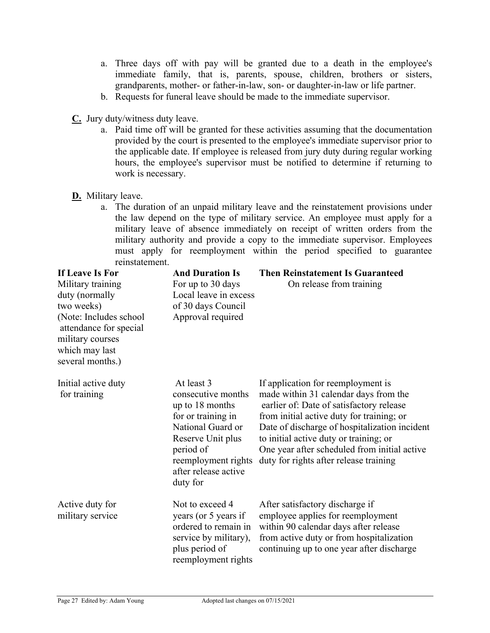- a. Three days off with pay will be granted due to a death in the employee's immediate family, that is, parents, spouse, children, brothers or sisters, grandparents, mother- or father-in-law, son- or daughter-in-law or life partner.
- b. Requests for funeral leave should be made to the immediate supervisor.
- **C.** Jury duty/witness duty leave.
	- a. Paid time off will be granted for these activities assuming that the documentation provided by the court is presented to the employee's immediate supervisor prior to the applicable date. If employee is released from jury duty during regular working hours, the employee's supervisor must be notified to determine if returning to work is necessary.
- **D.** Military leave.
	- a. The duration of an unpaid military leave and the reinstatement provisions under the law depend on the type of military service. An employee must apply for a military leave of absence immediately on receipt of written orders from the military authority and provide a copy to the immediate supervisor. Employees must apply for reemployment within the period specified to guarantee reinstatement.

| If Leave Is For<br>Military training<br>duty (normally<br>two weeks)<br>(Note: Includes school<br>attendance for special<br>military courses<br>which may last<br>several months.) | <b>And Duration Is</b><br>For up to 30 days<br>Local leave in excess<br>of 30 days Council<br>Approval required                                                                             | <b>Then Reinstatement Is Guaranteed</b><br>On release from training                                                                                                                                                                                                                                                                                       |
|------------------------------------------------------------------------------------------------------------------------------------------------------------------------------------|---------------------------------------------------------------------------------------------------------------------------------------------------------------------------------------------|-----------------------------------------------------------------------------------------------------------------------------------------------------------------------------------------------------------------------------------------------------------------------------------------------------------------------------------------------------------|
| Initial active duty<br>for training                                                                                                                                                | At least 3<br>consecutive months<br>up to 18 months<br>for or training in<br>National Guard or<br>Reserve Unit plus<br>period of<br>reemployment rights<br>after release active<br>duty for | If application for reemployment is<br>made within 31 calendar days from the<br>earlier of: Date of satisfactory release<br>from initial active duty for training; or<br>Date of discharge of hospitalization incident<br>to initial active duty or training; or<br>One year after scheduled from initial active<br>duty for rights after release training |
| Active duty for<br>military service                                                                                                                                                | Not to exceed 4<br>years (or 5 years if<br>ordered to remain in<br>service by military),<br>plus period of<br>reemployment rights                                                           | After satisfactory discharge if<br>employee applies for reemployment<br>within 90 calendar days after release<br>from active duty or from hospitalization<br>continuing up to one year after discharge                                                                                                                                                    |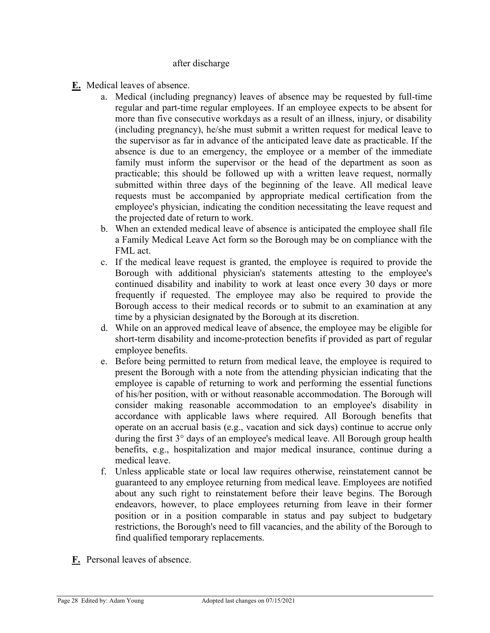#### after discharge

- **E.** Medical leaves of absence.
	- a. Medical (including pregnancy) leaves of absence may be requested by full-time regular and part-time regular employees. If an employee expects to be absent for more than five consecutive workdays as a result of an illness, injury, or disability (including pregnancy), he/she must submit a written request for medical leave to the supervisor as far in advance of the anticipated leave date as practicable. If the absence is due to an emergency, the employee or a member of the immediate family must inform the supervisor or the head of the department as soon as practicable; this should be followed up with a written leave request, normally submitted within three days of the beginning of the leave. All medical leave requests must be accompanied by appropriate medical certification from the employee's physician, indicating the condition necessitating the leave request and the projected date of return to work.
	- b. When an extended medical leave of absence is anticipated the employee shall file a Family Medical Leave Act form so the Borough may be on compliance with the FML act.
	- c. If the medical leave request is granted, the employee is required to provide the Borough with additional physician's statements attesting to the employee's continued disability and inability to work at least once every 30 days or more frequently if requested. The employee may also be required to provide the Borough access to their medical records or to submit to an examination at any time by a physician designated by the Borough at its discretion.
	- d. While on an approved medical leave of absence, the employee may be eligible for short-term disability and income-protection benefits if provided as part of regular employee benefits.
	- e. Before being permitted to return from medical leave, the employee is required to present the Borough with a note from the attending physician indicating that the employee is capable of returning to work and performing the essential functions of his/her position, with or without reasonable accommodation. The Borough will consider making reasonable accommodation to an employee's disability in accordance with applicable laws where required. All Borough benefits that operate on an accrual basis (e.g., vacation and sick days) continue to accrue only during the first 3° days of an employee's medical leave. All Borough group health benefits, e.g., hospitalization and major medical insurance, continue during a medical leave.
	- f. Unless applicable state or local law requires otherwise, reinstatement cannot be guaranteed to any employee returning from medical leave. Employees are notified about any such right to reinstatement before their leave begins. The Borough endeavors, however, to place employees returning from leave in their former position or in a position comparable in status and pay subject to budgetary restrictions, the Borough's need to fill vacancies, and the ability of the Borough to find qualified temporary replacements.
- **F.** Personal leaves of absence.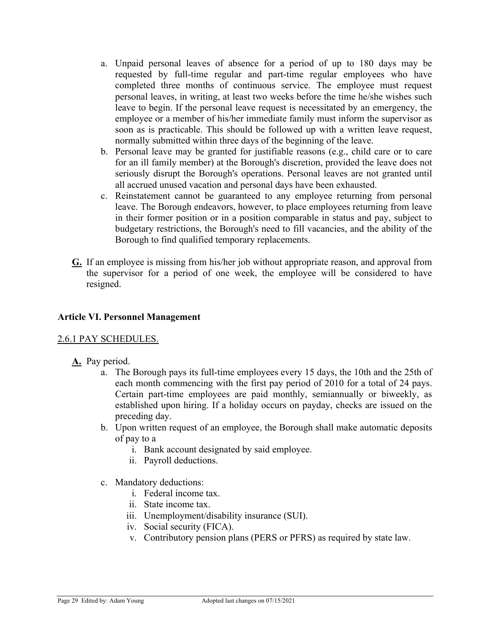- a. Unpaid personal leaves of absence for a period of up to 180 days may be requested by full-time regular and part-time regular employees who have completed three months of continuous service. The employee must request personal leaves, in writing, at least two weeks before the time he/she wishes such leave to begin. If the personal leave request is necessitated by an emergency, the employee or a member of his/her immediate family must inform the supervisor as soon as is practicable. This should be followed up with a written leave request, normally submitted within three days of the beginning of the leave.
- b. Personal leave may be granted for justifiable reasons (e.g., child care or to care for an ill family member) at the Borough's discretion, provided the leave does not seriously disrupt the Borough's operations. Personal leaves are not granted until all accrued unused vacation and personal days have been exhausted.
- c. Reinstatement cannot be guaranteed to any employee returning from personal leave. The Borough endeavors, however, to place employees returning from leave in their former position or in a position comparable in status and pay, subject to budgetary restrictions, the Borough's need to fill vacancies, and the ability of the Borough to find qualified temporary replacements.
- **G.** If an employee is missing from his/her job without appropriate reason, and approval from the supervisor for a period of one week, the employee will be considered to have resigned.

## **Article VI. Personnel Management**

## 2.6.1 PAY SCHEDULES.

- **A.** Pay period.
	- a. The Borough pays its full-time employees every 15 days, the 10th and the 25th of each month commencing with the first pay period of 2010 for a total of 24 pays. Certain part-time employees are paid monthly, semiannually or biweekly, as established upon hiring. If a holiday occurs on payday, checks are issued on the preceding day.
	- b. Upon written request of an employee, the Borough shall make automatic deposits of pay to a
		- i. Bank account designated by said employee.
		- ii. Payroll deductions.
	- c. Mandatory deductions:
		- i. Federal income tax.
		- ii. State income tax.
		- iii. Unemployment/disability insurance (SUI).
		- iv. Social security (FICA).
		- v. Contributory pension plans (PERS or PFRS) as required by state law.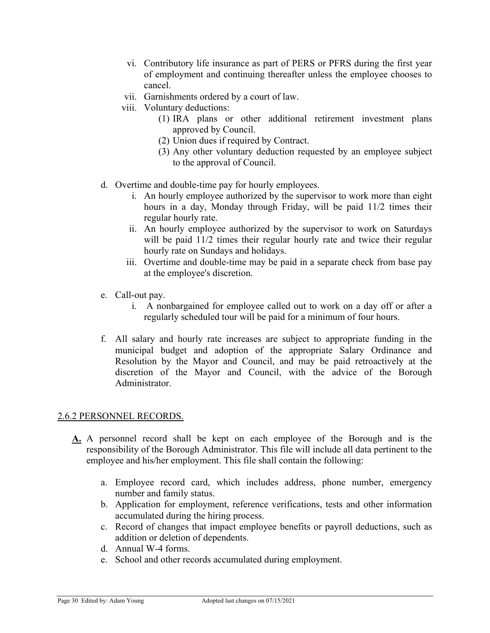- vi. Contributory life insurance as part of PERS or PFRS during the first year of employment and continuing thereafter unless the employee chooses to cancel.
- vii. Garnishments ordered by a court of law.
- viii. Voluntary deductions:
	- (1) IRA plans or other additional retirement investment plans approved by Council.
	- (2) Union dues if required by Contract.
	- (3) Any other voluntary deduction requested by an employee subject to the approval of Council.
- d. Overtime and double-time pay for hourly employees.
	- i. An hourly employee authorized by the supervisor to work more than eight hours in a day, Monday through Friday, will be paid 11/2 times their regular hourly rate.
	- ii. An hourly employee authorized by the supervisor to work on Saturdays will be paid  $11/2$  times their regular hourly rate and twice their regular hourly rate on Sundays and holidays.
	- iii. Overtime and double-time may be paid in a separate check from base pay at the employee's discretion.
- e. Call-out pay.
	- i. A nonbargained for employee called out to work on a day off or after a regularly scheduled tour will be paid for a minimum of four hours.
- f. All salary and hourly rate increases are subject to appropriate funding in the municipal budget and adoption of the appropriate Salary Ordinance and Resolution by the Mayor and Council, and may be paid retroactively at the discretion of the Mayor and Council, with the advice of the Borough Administrator.

#### 2.6.2 PERSONNEL RECORDS.

- **A.** A personnel record shall be kept on each employee of the Borough and is the responsibility of the Borough Administrator. This file will include all data pertinent to the employee and his/her employment. This file shall contain the following:
	- a. Employee record card, which includes address, phone number, emergency number and family status.
	- b. Application for employment, reference verifications, tests and other information accumulated during the hiring process.
	- c. Record of changes that impact employee benefits or payroll deductions, such as addition or deletion of dependents.
	- d. Annual W-4 forms.
	- e. School and other records accumulated during employment.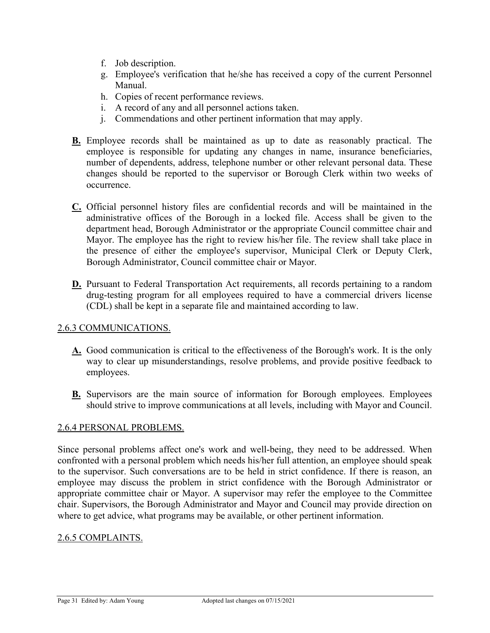- f. Job description.
- g. Employee's verification that he/she has received a copy of the current Personnel Manual.
- h. Copies of recent performance reviews.
- i. A record of any and all personnel actions taken.
- j. Commendations and other pertinent information that may apply.
- **B.** Employee records shall be maintained as up to date as reasonably practical. The employee is responsible for updating any changes in name, insurance beneficiaries, number of dependents, address, telephone number or other relevant personal data. These changes should be reported to the supervisor or Borough Clerk within two weeks of occurrence.
- **C.** Official personnel history files are confidential records and will be maintained in the administrative offices of the Borough in a locked file. Access shall be given to the department head, Borough Administrator or the appropriate Council committee chair and Mayor. The employee has the right to review his/her file. The review shall take place in the presence of either the employee's supervisor, Municipal Clerk or Deputy Clerk, Borough Administrator, Council committee chair or Mayor.
- **D.** Pursuant to Federal Transportation Act requirements, all records pertaining to a random drug-testing program for all employees required to have a commercial drivers license (CDL) shall be kept in a separate file and maintained according to law.

#### 2.6.3 COMMUNICATIONS.

- **A.** Good communication is critical to the effectiveness of the Borough's work. It is the only way to clear up misunderstandings, resolve problems, and provide positive feedback to employees.
- **B.** Supervisors are the main source of information for Borough employees. Employees should strive to improve communications at all levels, including with Mayor and Council.

#### 2.6.4 PERSONAL PROBLEMS.

Since personal problems affect one's work and well-being, they need to be addressed. When confronted with a personal problem which needs his/her full attention, an employee should speak to the supervisor. Such conversations are to be held in strict confidence. If there is reason, an employee may discuss the problem in strict confidence with the Borough Administrator or appropriate committee chair or Mayor. A supervisor may refer the employee to the Committee chair. Supervisors, the Borough Administrator and Mayor and Council may provide direction on where to get advice, what programs may be available, or other pertinent information.

#### 2.6.5 COMPLAINTS.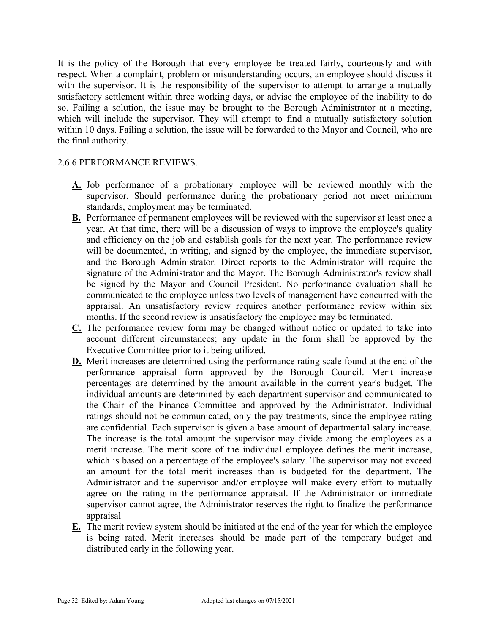It is the policy of the Borough that every employee be treated fairly, courteously and with respect. When a complaint, problem or misunderstanding occurs, an employee should discuss it with the supervisor. It is the responsibility of the supervisor to attempt to arrange a mutually satisfactory settlement within three working days, or advise the employee of the inability to do so. Failing a solution, the issue may be brought to the Borough Administrator at a meeting, which will include the supervisor. They will attempt to find a mutually satisfactory solution within 10 days. Failing a solution, the issue will be forwarded to the Mayor and Council, who are the final authority.

#### 2.6.6 PERFORMANCE REVIEWS.

- **A.** Job performance of a probationary employee will be reviewed monthly with the supervisor. Should performance during the probationary period not meet minimum standards, employment may be terminated.
- **B.** Performance of permanent employees will be reviewed with the supervisor at least once a year. At that time, there will be a discussion of ways to improve the employee's quality and efficiency on the job and establish goals for the next year. The performance review will be documented, in writing, and signed by the employee, the immediate supervisor, and the Borough Administrator. Direct reports to the Administrator will require the signature of the Administrator and the Mayor. The Borough Administrator's review shall be signed by the Mayor and Council President. No performance evaluation shall be communicated to the employee unless two levels of management have concurred with the appraisal. An unsatisfactory review requires another performance review within six months. If the second review is unsatisfactory the employee may be terminated.
- **C.** The performance review form may be changed without notice or updated to take into account different circumstances; any update in the form shall be approved by the Executive Committee prior to it being utilized.
- **D.** Merit increases are determined using the performance rating scale found at the end of the performance appraisal form approved by the Borough Council. Merit increase percentages are determined by the amount available in the current year's budget. The individual amounts are determined by each department supervisor and communicated to the Chair of the Finance Committee and approved by the Administrator. Individual ratings should not be communicated, only the pay treatments, since the employee rating are confidential. Each supervisor is given a base amount of departmental salary increase. The increase is the total amount the supervisor may divide among the employees as a merit increase. The merit score of the individual employee defines the merit increase, which is based on a percentage of the employee's salary. The supervisor may not exceed an amount for the total merit increases than is budgeted for the department. The Administrator and the supervisor and/or employee will make every effort to mutually agree on the rating in the performance appraisal. If the Administrator or immediate supervisor cannot agree, the Administrator reserves the right to finalize the performance appraisal
- **E.** The merit review system should be initiated at the end of the year for which the employee is being rated. Merit increases should be made part of the temporary budget and distributed early in the following year.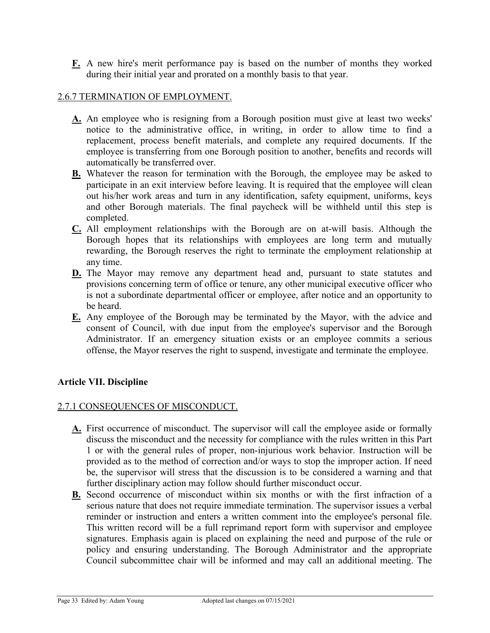**F.** A new hire's merit performance pay is based on the number of months they worked during their initial year and prorated on a monthly basis to that year.

#### 2.6.7 TERMINATION OF EMPLOYMENT.

- **A.** An employee who is resigning from a Borough position must give at least two weeks' notice to the administrative office, in writing, in order to allow time to find a replacement, process benefit materials, and complete any required documents. If the employee is transferring from one Borough position to another, benefits and records will automatically be transferred over.
- **B.** Whatever the reason for termination with the Borough, the employee may be asked to participate in an exit interview before leaving. It is required that the employee will clean out his/her work areas and turn in any identification, safety equipment, uniforms, keys and other Borough materials. The final paycheck will be withheld until this step is completed.
- **C.** All employment relationships with the Borough are on at-will basis. Although the Borough hopes that its relationships with employees are long term and mutually rewarding, the Borough reserves the right to terminate the employment relationship at any time.
- **D.** The Mayor may remove any department head and, pursuant to state statutes and provisions concerning term of office or tenure, any other municipal executive officer who is not a subordinate departmental officer or employee, after notice and an opportunity to be heard.
- **E.** Any employee of the Borough may be terminated by the Mayor, with the advice and consent of Council, with due input from the employee's supervisor and the Borough Administrator. If an emergency situation exists or an employee commits a serious offense, the Mayor reserves the right to suspend, investigate and terminate the employee.

## **Article VII. Discipline**

#### 2.7.1 CONSEQUENCES OF MISCONDUCT.

- **A.** First occurrence of misconduct. The supervisor will call the employee aside or formally discuss the misconduct and the necessity for compliance with the rules written in this Part 1 or with the general rules of proper, non-injurious work behavior. Instruction will be provided as to the method of correction and/or ways to stop the improper action. If need be, the supervisor will stress that the discussion is to be considered a warning and that further disciplinary action may follow should further misconduct occur.
- **B.** Second occurrence of misconduct within six months or with the first infraction of a serious nature that does not require immediate termination. The supervisor issues a verbal reminder or instruction and enters a written comment into the employee's personal file. This written record will be a full reprimand report form with supervisor and employee signatures. Emphasis again is placed on explaining the need and purpose of the rule or policy and ensuring understanding. The Borough Administrator and the appropriate Council subcommittee chair will be informed and may call an additional meeting. The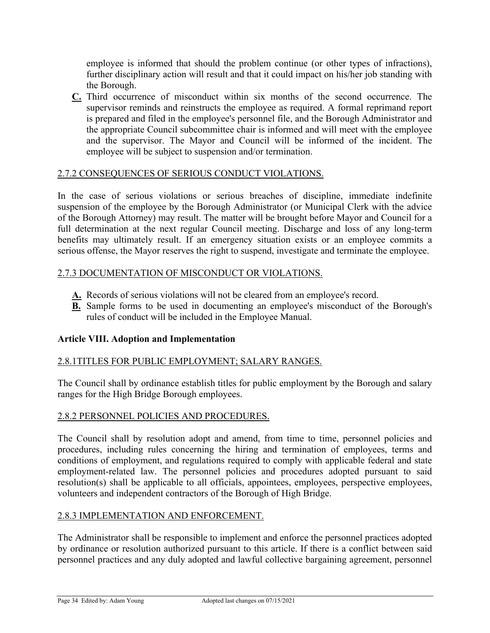employee is informed that should the problem continue (or other types of infractions), further disciplinary action will result and that it could impact on his/her job standing with the Borough.

**C.** Third occurrence of misconduct within six months of the second occurrence. The supervisor reminds and reinstructs the employee as required. A formal reprimand report is prepared and filed in the employee's personnel file, and the Borough Administrator and the appropriate Council subcommittee chair is informed and will meet with the employee and the supervisor. The Mayor and Council will be informed of the incident. The employee will be subject to suspension and/or termination.

## 2.7.2 CONSEQUENCES OF SERIOUS CONDUCT VIOLATIONS.

In the case of serious violations or serious breaches of discipline, immediate indefinite suspension of the employee by the Borough Administrator (or Municipal Clerk with the advice of the Borough Attorney) may result. The matter will be brought before Mayor and Council for a full determination at the next regular Council meeting. Discharge and loss of any long-term benefits may ultimately result. If an emergency situation exists or an employee commits a serious offense, the Mayor reserves the right to suspend, investigate and terminate the employee.

## 2.7.3 DOCUMENTATION OF MISCONDUCT OR VIOLATIONS.

- **A.** Records of serious violations will not be cleared from an employee's record.
- **B.** Sample forms to be used in documenting an employee's misconduct of the Borough's rules of conduct will be included in the Employee Manual.

# **Article VIII. Adoption and Implementation**

# 2.8.1TITLES FOR PUBLIC EMPLOYMENT; SALARY RANGES.

The Council shall by ordinance establish titles for public employment by the Borough and salary ranges for the High Bridge Borough employees.

## 2.8.2 PERSONNEL POLICIES AND PROCEDURES.

The Council shall by resolution adopt and amend, from time to time, personnel policies and procedures, including rules concerning the hiring and termination of employees, terms and conditions of employment, and regulations required to comply with applicable federal and state employment-related law. The personnel policies and procedures adopted pursuant to said resolution(s) shall be applicable to all officials, appointees, employees, perspective employees, volunteers and independent contractors of the Borough of High Bridge.

# 2.8.3 IMPLEMENTATION AND ENFORCEMENT.

The Administrator shall be responsible to implement and enforce the personnel practices adopted by ordinance or resolution authorized pursuant to this article. If there is a conflict between said personnel practices and any duly adopted and lawful collective bargaining agreement, personnel